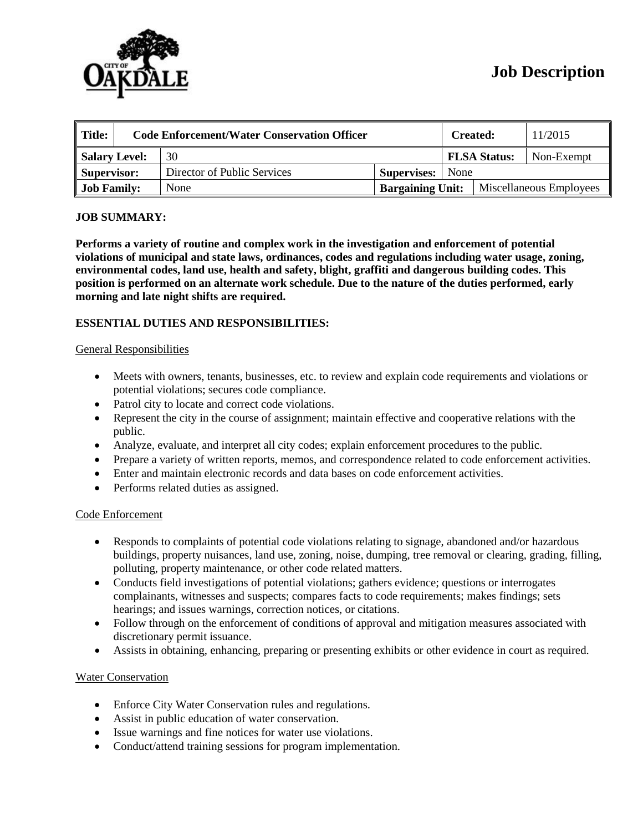

| $\parallel$ Title: | <b>Code Enforcement/Water Conservation Officer</b> |                             |                         | <b>Created:</b>     |  | 11/2015                 |  |
|--------------------|----------------------------------------------------|-----------------------------|-------------------------|---------------------|--|-------------------------|--|
| Salary Level:      |                                                    | 30                          |                         | <b>FLSA Status:</b> |  | Non-Exempt              |  |
| Supervisor:        |                                                    | Director of Public Services | <b>Supervises:</b> None |                     |  |                         |  |
| <b>Job Family:</b> |                                                    | None                        | <b>Bargaining Unit:</b> |                     |  | Miscellaneous Employees |  |

### **JOB SUMMARY:**

**Performs a variety of routine and complex work in the investigation and enforcement of potential violations of municipal and state laws, ordinances, codes and regulations including water usage, zoning, environmental codes, land use, health and safety, blight, graffiti and dangerous building codes. This position is performed on an alternate work schedule. Due to the nature of the duties performed, early morning and late night shifts are required.**

# **ESSENTIAL DUTIES AND RESPONSIBILITIES:**

#### General Responsibilities

- Meets with owners, tenants, businesses, etc. to review and explain code requirements and violations or potential violations; secures code compliance.
- Patrol city to locate and correct code violations.
- Represent the city in the course of assignment; maintain effective and cooperative relations with the public.
- Analyze, evaluate, and interpret all city codes; explain enforcement procedures to the public.
- Prepare a variety of written reports, memos, and correspondence related to code enforcement activities.
- Enter and maintain electronic records and data bases on code enforcement activities.
- Performs related duties as assigned.

### Code Enforcement

- Responds to complaints of potential code violations relating to signage, abandoned and/or hazardous buildings, property nuisances, land use, zoning, noise, dumping, tree removal or clearing, grading, filling, polluting, property maintenance, or other code related matters.
- Conducts field investigations of potential violations; gathers evidence; questions or interrogates complainants, witnesses and suspects; compares facts to code requirements; makes findings; sets hearings; and issues warnings, correction notices, or citations.
- Follow through on the enforcement of conditions of approval and mitigation measures associated with discretionary permit issuance.
- Assists in obtaining, enhancing, preparing or presenting exhibits or other evidence in court as required.

### Water Conservation

- Enforce City Water Conservation rules and regulations.
- Assist in public education of water conservation.
- Issue warnings and fine notices for water use violations.
- Conduct/attend training sessions for program implementation.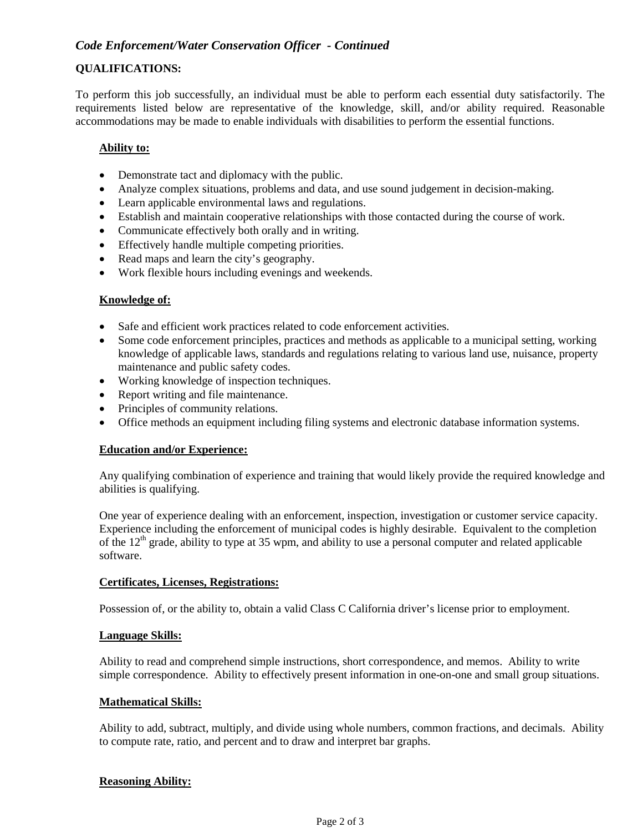# *Code Enforcement/Water Conservation Officer - Continued*

# **QUALIFICATIONS:**

To perform this job successfully, an individual must be able to perform each essential duty satisfactorily. The requirements listed below are representative of the knowledge, skill, and/or ability required. Reasonable accommodations may be made to enable individuals with disabilities to perform the essential functions.

### **Ability to:**

- Demonstrate tact and diplomacy with the public.
- Analyze complex situations, problems and data, and use sound judgement in decision-making.
- Learn applicable environmental laws and regulations.
- Establish and maintain cooperative relationships with those contacted during the course of work.
- Communicate effectively both orally and in writing.
- Effectively handle multiple competing priorities.
- Read maps and learn the city's geography.
- Work flexible hours including evenings and weekends.

### **Knowledge of:**

- Safe and efficient work practices related to code enforcement activities.
- Some code enforcement principles, practices and methods as applicable to a municipal setting, working knowledge of applicable laws, standards and regulations relating to various land use, nuisance, property maintenance and public safety codes.
- Working knowledge of inspection techniques.
- Report writing and file maintenance.
- Principles of community relations.
- Office methods an equipment including filing systems and electronic database information systems.

#### **Education and/or Experience:**

Any qualifying combination of experience and training that would likely provide the required knowledge and abilities is qualifying.

One year of experience dealing with an enforcement, inspection, investigation or customer service capacity. Experience including the enforcement of municipal codes is highly desirable. Equivalent to the completion of the  $12<sup>th</sup>$  grade, ability to type at 35 wpm, and ability to use a personal computer and related applicable software.

#### **Certificates, Licenses, Registrations:**

Possession of, or the ability to, obtain a valid Class C California driver's license prior to employment.

### **Language Skills:**

Ability to read and comprehend simple instructions, short correspondence, and memos. Ability to write simple correspondence. Ability to effectively present information in one-on-one and small group situations.

### **Mathematical Skills:**

Ability to add, subtract, multiply, and divide using whole numbers, common fractions, and decimals. Ability to compute rate, ratio, and percent and to draw and interpret bar graphs.

#### **Reasoning Ability:**